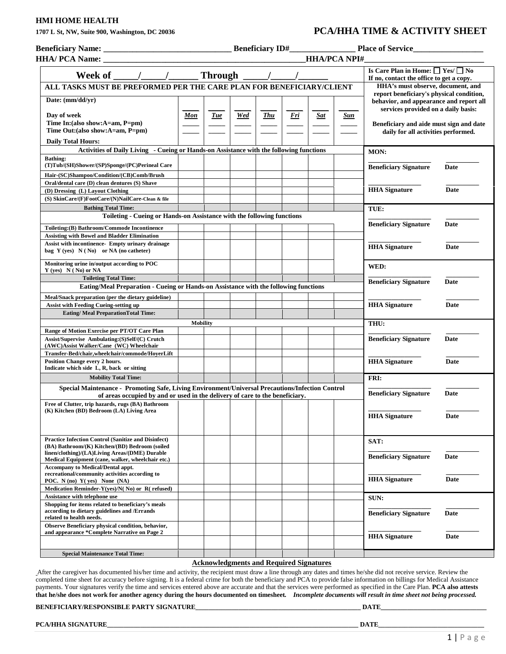## **HMI HOME HEALTH**

# **1707 L St, NW, Suite 900, Washington, DC 20036 PCA/HHA TIME & ACTIVITY SHEET**

|                                                                                                                                                                                                                                                     |                 |            |     |            |            |     | <b>HHA/PCA NPI#</b>               |                                                                                                                                                                                                                      |      |
|-----------------------------------------------------------------------------------------------------------------------------------------------------------------------------------------------------------------------------------------------------|-----------------|------------|-----|------------|------------|-----|-----------------------------------|----------------------------------------------------------------------------------------------------------------------------------------------------------------------------------------------------------------------|------|
| Week of $\frac{1}{\sqrt{1-\frac{1}{2}}}\$ Through $\frac{1}{\sqrt{1-\frac{1}{2}}}\$                                                                                                                                                                 |                 |            |     |            |            |     |                                   | Is Care Plan in Home: $\Box$ Yes/ $\Box$ No<br>If no, contact the office to get a copy.                                                                                                                              |      |
| ALL TASKS MUST BE PREFORMED PER THE CARE PLAN FOR BENEFICIARY/CLIENT                                                                                                                                                                                |                 |            |     |            |            |     | HHA's must observe, document, and |                                                                                                                                                                                                                      |      |
| Date: (mm/dd/yr)<br>Day of week<br>Time In: (also show: A=am, P=pm)<br>Time Out: (also show: A=am, P=pm)<br><b>Daily Total Hours:</b><br>Activities of Daily Living - Cueing or Hands-on Assistance with the following functions<br><b>Bathing:</b> | Mon             | <b>Tue</b> | Wed | <b>Thu</b> | <u>Fri</u> | Sat | Sun                               | report beneficiary's physical condition,<br>behavior, and appearance and report all<br>services provided on a daily basis:<br>Beneficiary and aide must sign and date<br>daily for all activities performed.<br>MON: |      |
| (T)Tub/(SH)Shower/(SP)Sponge/(PC)Perineal Care                                                                                                                                                                                                      |                 |            |     |            |            |     |                                   | <b>Beneficiary Signature</b>                                                                                                                                                                                         | Date |
| Hair-(SC)Shampoo/Condition/(CB)Comb/Brush<br>Oral/dental care (D) clean dentures (S) Shave<br>(D) Dressing (L) Layout Clothing<br>(S) SkinCare/(F)FootCare/(N)NailCare-Clean & file                                                                 |                 |            |     |            |            |     |                                   | <b>HHA</b> Signature                                                                                                                                                                                                 | Date |
| <b>Bathing Total Time:</b>                                                                                                                                                                                                                          |                 |            |     |            |            |     |                                   | TUE:                                                                                                                                                                                                                 |      |
| Toileting - Cueing or Hands-on Assistance with the following functions<br>Toileting: (B) Bathroom/Commode Incontinence<br><b>Assisting with Bowel and Bladder Elimination</b>                                                                       |                 |            |     |            |            |     |                                   | <b>Beneficiary Signature</b>                                                                                                                                                                                         | Date |
| <b>Assist with incontinence- Empty urinary drainage</b><br>bag $Y$ (yes) $N(No)$ or NA (no catheter)                                                                                                                                                |                 |            |     |            |            |     |                                   | <b>HHA Signature</b>                                                                                                                                                                                                 | Date |
| Monitoring urine in/output according to POC<br>$Y$ (yes) $N(No)$ or NA<br><b>Toileting Total Time:</b>                                                                                                                                              |                 |            |     |            |            |     |                                   | WED:                                                                                                                                                                                                                 |      |
| Eating/Meal Preparation - Cueing or Hands-on Assistance with the following functions                                                                                                                                                                |                 |            |     |            |            |     | <b>Beneficiary Signature</b>      | Date                                                                                                                                                                                                                 |      |
| Meal/Snack preparation (per the dietary guideline)<br><b>Assist with Feeding Cueing-setting up</b><br><b>Eating/Meal PreparationTotal Time:</b>                                                                                                     |                 |            |     |            |            |     |                                   | <b>HHA</b> Signature                                                                                                                                                                                                 | Date |
|                                                                                                                                                                                                                                                     | <b>Mobility</b> |            |     |            |            |     |                                   | THU:                                                                                                                                                                                                                 |      |
| Range of Motion Exercise per PT/OT Care Plan<br>Assist/Supervise Ambulating: (S)Self/(C) Crutch<br>(AWC)Assist Walker/Cane (WC) Wheelchair<br>Transfer-Bed/chair, wheelchair/commode/HoyerLift                                                      |                 |            |     |            |            |     |                                   | <b>Beneficiary Signature</b>                                                                                                                                                                                         | Date |
| Position Change every 2 hours.<br>Indicate which side L, R, back or sitting                                                                                                                                                                         |                 |            |     |            |            |     |                                   | <b>HHA</b> Signature                                                                                                                                                                                                 | Date |
| <b>Mobility Total Time:</b>                                                                                                                                                                                                                         |                 |            |     |            |            |     |                                   | FRI:                                                                                                                                                                                                                 |      |
| Special Maintenance - Promoting Safe, Living Environment/Universal Precautions/Infection Control<br>of areas occupied by and or used in the delivery of care to the beneficiary.                                                                    |                 |            |     |            |            |     | <b>Beneficiary Signature</b>      | Date                                                                                                                                                                                                                 |      |
| Free of Clutter, trip hazards, rugs (BA) Bathroom<br>(K) Kitchen (BD) Bedroom (LA) Living Area                                                                                                                                                      |                 |            |     |            |            |     |                                   | <b>HHA Signature</b>                                                                                                                                                                                                 | Date |
| <b>Practice Infection Control (Sanitize and Disinfect)</b><br>(BA) Bathroom/(K) Kitchen/(BD) Bedroom (soiled<br>linen/clothing)/(LA)Living Areas/(DME) Durable<br>Medical Equipment (cane, walker, wheelchair etc.)                                 |                 |            |     |            |            |     |                                   | SAT:<br><b>Beneficiary Signature</b>                                                                                                                                                                                 | Date |
| <b>Accompany to Medical/Dental appt.</b><br>recreational/community activities according to<br>POC. N (no) $Y$ (yes) None (NA)<br>Medication Reminder-Y(yes)/N(No) or R(refused)                                                                     |                 |            |     |            |            |     |                                   | <b>HHA</b> Signature                                                                                                                                                                                                 | Date |
| Assistance with telephone use                                                                                                                                                                                                                       |                 |            |     |            |            |     |                                   | SUN:                                                                                                                                                                                                                 |      |
| Shopping for items related to beneficiary's meals<br>according to dietary guidelines and /Errands<br>related to health needs.                                                                                                                       |                 |            |     |            |            |     |                                   | <b>Beneficiary Signature</b>                                                                                                                                                                                         | Date |
| Observe Beneficiary physical condition, behavior,<br>and appearance *Complete Narrative on Page 2                                                                                                                                                   |                 |            |     |            |            |     |                                   | <b>HHA</b> Signature                                                                                                                                                                                                 | Date |

#### **Acknowledgments and Required Signatures**

After the caregiver has documented his/her time and activity, the recipient must draw a line through any dates and times he/she did not receive service. Review the completed time sheet for accuracy before signing. It is a federal crime for both the beneficiary and PCA to provide false information on billings for Medical Assistance payments. Your signatures verify the time and services entered above are accurate and that the services were performed as specified in the Care Plan. **PCA also attests that he/she does not work for another agency during the hours documented on timesheet***. Incomplete documents will result in time sheet not being processed.*

### **BENEFICIARY/RESPONSIBLE PARTY SIGNATURE\_\_\_\_\_\_\_\_\_\_\_\_\_\_\_\_\_\_\_\_\_\_\_\_\_\_\_\_\_\_\_\_\_\_\_\_\_\_\_\_\_\_\_\_\_\_\_\_\_\_ DATE\_\_\_\_\_\_\_\_\_\_\_\_\_\_\_\_\_\_\_\_\_\_\_\_\_\_\_\_\_\_\_\_**

**PCA/HHA SIGNATURE\_\_\_\_\_\_\_\_\_\_\_\_\_\_\_\_\_\_\_\_\_\_\_\_\_\_\_\_\_\_\_\_\_\_\_\_\_\_\_\_\_\_\_\_\_\_\_\_\_\_\_\_\_\_\_\_\_\_\_\_\_\_\_\_\_\_\_\_\_\_\_\_\_\_\_\_ DATE\_\_\_\_\_\_\_\_\_\_\_\_\_\_\_\_\_\_\_\_\_\_\_\_\_\_\_\_\_\_\_\_**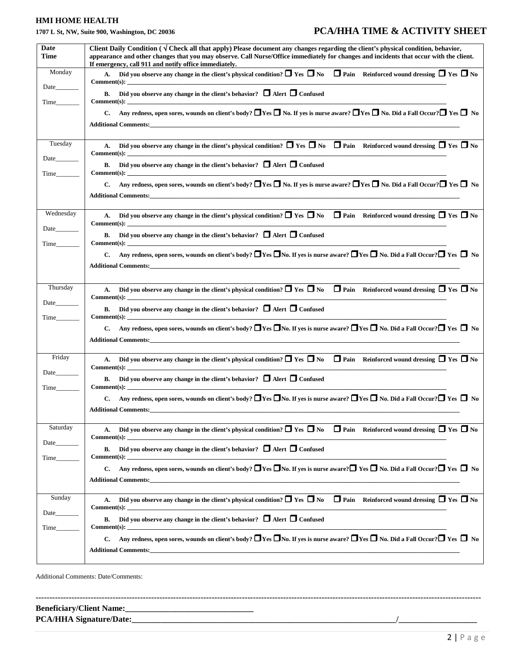# **HMI HOME HEALTH**

# **1707 L St, NW, Suite 900, Washington, DC 20036 PCA/HHA TIME & ACTIVITY SHEET**

| Monday<br>Comment(s):<br>Date<br>B. Did you observe any change in the client's behavior? $\Box$ Alert $\Box$ Confused<br>$Comment(s):$<br>Tuesday<br>A. Did you observe any change in the client's physical condition? $\Box$ Yes $\Box$ No $\Box$ Pain Reinforced wound dressing $\Box$ Yes $\Box$ No<br>Date<br>B. Did you observe any change in the client's behavior? $\Box$ Alert $\Box$ Confused<br>Additional Comments: the contract of the contract of the contract of the contract of the contract of the contract of the contract of the contract of the contract of the contract of the contract of the contract of the contr<br>Wednesday<br>Comment(s):<br>Date<br>B. Did you observe any change in the client's behavior? $\Box$ Alert $\Box$ Confused<br>Comment(s):<br>Time<br>Thursday<br>A. Did you observe any change in the client's physical condition? $\Box$ Yes $\Box$ No $\Box$ Pain Reinforced wound dressing $\Box$ Yes $\Box$ No<br>B. Did you observe any change in the client's behavior? $\Box$ Alert $\Box$ Confused<br>Comment(s):<br>Friday<br>Comment(s):<br>Date<br>B. Did you observe any change in the client's behavior? $\Box$ Alert $\Box$ Confused<br>Comment(s):<br>Time<br><b>Additional Comments:</b><br>Saturday<br>A. Did you observe any change in the client's physical condition? $\Box$ Yes $\Box$ No $\Box$ Pain Reinforced wound dressing $\Box$ Yes $\Box$ No<br>Comment(s):<br>Date<br>B. Did you observe any change in the client's behavior? $\Box$ Alert $\Box$ Confused<br>Comment(s):<br>Time<br>C. Any redness, open sores, wounds on client's body? $\Box$ Yes $\Box$ No. If yes is nurse aware? $\Box$ Yes $\Box$ No. Did a Fall Occur? $\Box$ Yes $\Box$ No<br>Sunday<br>A. Did you observe any change in the client's physical condition? $\Box$ Yes $\Box$ No $\Box$ Pain Reinforced wound dressing $\Box$ Yes $\Box$ No<br>Comment(s):<br>Date<br>B. Did you observe any change in the client's behavior? $\Box$ Alert $\Box$ Confused<br>Comment(s):<br>Time | Date<br>Time | Client Daily Condition ( $\sqrt{ }$ Check all that apply) Please document any changes regarding the client's physical condition, behavior,<br>appearance and other changes that you may observe. Call Nurse/Office immediately for changes and incidents that occur with the client.<br>If emergency, call 911 and notify office immediately. |
|----------------------------------------------------------------------------------------------------------------------------------------------------------------------------------------------------------------------------------------------------------------------------------------------------------------------------------------------------------------------------------------------------------------------------------------------------------------------------------------------------------------------------------------------------------------------------------------------------------------------------------------------------------------------------------------------------------------------------------------------------------------------------------------------------------------------------------------------------------------------------------------------------------------------------------------------------------------------------------------------------------------------------------------------------------------------------------------------------------------------------------------------------------------------------------------------------------------------------------------------------------------------------------------------------------------------------------------------------------------------------------------------------------------------------------------------------------------------------------------------------------------------------------------------------------------------------------------------------------------------------------------------------------------------------------------------------------------------------------------------------------------------------------------------------------------------------------------------------------------------------------------------------------------------------------------------------------------------------------------------------------------------------------|--------------|-----------------------------------------------------------------------------------------------------------------------------------------------------------------------------------------------------------------------------------------------------------------------------------------------------------------------------------------------|
|                                                                                                                                                                                                                                                                                                                                                                                                                                                                                                                                                                                                                                                                                                                                                                                                                                                                                                                                                                                                                                                                                                                                                                                                                                                                                                                                                                                                                                                                                                                                                                                                                                                                                                                                                                                                                                                                                                                                                                                                                                  |              | A. Did you observe any change in the client's physical condition? $\Box$ Yes $\Box$ No $\Box$ Pain Reinforced wound dressing $\Box$ Yes $\Box$ No                                                                                                                                                                                             |
|                                                                                                                                                                                                                                                                                                                                                                                                                                                                                                                                                                                                                                                                                                                                                                                                                                                                                                                                                                                                                                                                                                                                                                                                                                                                                                                                                                                                                                                                                                                                                                                                                                                                                                                                                                                                                                                                                                                                                                                                                                  |              |                                                                                                                                                                                                                                                                                                                                               |
|                                                                                                                                                                                                                                                                                                                                                                                                                                                                                                                                                                                                                                                                                                                                                                                                                                                                                                                                                                                                                                                                                                                                                                                                                                                                                                                                                                                                                                                                                                                                                                                                                                                                                                                                                                                                                                                                                                                                                                                                                                  |              | C. Any redness, open sores, wounds on client's body? $\Box$ Yes $\Box$ No. If yes is nurse aware? $\Box$ Yes $\Box$ No. Did a Fall Occur? $\Box$ Yes $\Box$ No                                                                                                                                                                                |
|                                                                                                                                                                                                                                                                                                                                                                                                                                                                                                                                                                                                                                                                                                                                                                                                                                                                                                                                                                                                                                                                                                                                                                                                                                                                                                                                                                                                                                                                                                                                                                                                                                                                                                                                                                                                                                                                                                                                                                                                                                  |              |                                                                                                                                                                                                                                                                                                                                               |
|                                                                                                                                                                                                                                                                                                                                                                                                                                                                                                                                                                                                                                                                                                                                                                                                                                                                                                                                                                                                                                                                                                                                                                                                                                                                                                                                                                                                                                                                                                                                                                                                                                                                                                                                                                                                                                                                                                                                                                                                                                  |              |                                                                                                                                                                                                                                                                                                                                               |
|                                                                                                                                                                                                                                                                                                                                                                                                                                                                                                                                                                                                                                                                                                                                                                                                                                                                                                                                                                                                                                                                                                                                                                                                                                                                                                                                                                                                                                                                                                                                                                                                                                                                                                                                                                                                                                                                                                                                                                                                                                  |              | C. Any redness, open sores, wounds on client's body? $\Box$ Yes $\Box$ No. If yes is nurse aware? $\Box$ Yes $\Box$ No. Did a Fall Occur? $\Box$ Yes $\Box$ No                                                                                                                                                                                |
|                                                                                                                                                                                                                                                                                                                                                                                                                                                                                                                                                                                                                                                                                                                                                                                                                                                                                                                                                                                                                                                                                                                                                                                                                                                                                                                                                                                                                                                                                                                                                                                                                                                                                                                                                                                                                                                                                                                                                                                                                                  |              | A. Did you observe any change in the client's physical condition? $\Box$ Yes $\Box$ No $\Box$ Pain Reinforced wound dressing $\Box$ Yes $\Box$ No                                                                                                                                                                                             |
|                                                                                                                                                                                                                                                                                                                                                                                                                                                                                                                                                                                                                                                                                                                                                                                                                                                                                                                                                                                                                                                                                                                                                                                                                                                                                                                                                                                                                                                                                                                                                                                                                                                                                                                                                                                                                                                                                                                                                                                                                                  |              |                                                                                                                                                                                                                                                                                                                                               |
|                                                                                                                                                                                                                                                                                                                                                                                                                                                                                                                                                                                                                                                                                                                                                                                                                                                                                                                                                                                                                                                                                                                                                                                                                                                                                                                                                                                                                                                                                                                                                                                                                                                                                                                                                                                                                                                                                                                                                                                                                                  |              | Any redness, open sores, wounds on client's body? $\Box$ Yes $\Box$ No. If yes is nurse aware? $\Box$ Yes $\Box$ No. Did a Fall Occur? $\Box$ Yes $\Box$ No                                                                                                                                                                                   |
|                                                                                                                                                                                                                                                                                                                                                                                                                                                                                                                                                                                                                                                                                                                                                                                                                                                                                                                                                                                                                                                                                                                                                                                                                                                                                                                                                                                                                                                                                                                                                                                                                                                                                                                                                                                                                                                                                                                                                                                                                                  |              |                                                                                                                                                                                                                                                                                                                                               |
|                                                                                                                                                                                                                                                                                                                                                                                                                                                                                                                                                                                                                                                                                                                                                                                                                                                                                                                                                                                                                                                                                                                                                                                                                                                                                                                                                                                                                                                                                                                                                                                                                                                                                                                                                                                                                                                                                                                                                                                                                                  |              |                                                                                                                                                                                                                                                                                                                                               |
|                                                                                                                                                                                                                                                                                                                                                                                                                                                                                                                                                                                                                                                                                                                                                                                                                                                                                                                                                                                                                                                                                                                                                                                                                                                                                                                                                                                                                                                                                                                                                                                                                                                                                                                                                                                                                                                                                                                                                                                                                                  |              |                                                                                                                                                                                                                                                                                                                                               |
|                                                                                                                                                                                                                                                                                                                                                                                                                                                                                                                                                                                                                                                                                                                                                                                                                                                                                                                                                                                                                                                                                                                                                                                                                                                                                                                                                                                                                                                                                                                                                                                                                                                                                                                                                                                                                                                                                                                                                                                                                                  |              | C. Any redness, open sores, wounds on client's body? $\Box$ Yes $\Box$ No. If yes is nurse aware? $\Box$ Yes $\Box$ No. Did a Fall Occur? $\Box$ Yes $\Box$ No                                                                                                                                                                                |
|                                                                                                                                                                                                                                                                                                                                                                                                                                                                                                                                                                                                                                                                                                                                                                                                                                                                                                                                                                                                                                                                                                                                                                                                                                                                                                                                                                                                                                                                                                                                                                                                                                                                                                                                                                                                                                                                                                                                                                                                                                  |              | A. Did you observe any change in the client's physical condition? $\Box$ Yes $\Box$ No $\Box$ Pain Reinforced wound dressing $\Box$ Yes $\Box$ No                                                                                                                                                                                             |
|                                                                                                                                                                                                                                                                                                                                                                                                                                                                                                                                                                                                                                                                                                                                                                                                                                                                                                                                                                                                                                                                                                                                                                                                                                                                                                                                                                                                                                                                                                                                                                                                                                                                                                                                                                                                                                                                                                                                                                                                                                  |              |                                                                                                                                                                                                                                                                                                                                               |
|                                                                                                                                                                                                                                                                                                                                                                                                                                                                                                                                                                                                                                                                                                                                                                                                                                                                                                                                                                                                                                                                                                                                                                                                                                                                                                                                                                                                                                                                                                                                                                                                                                                                                                                                                                                                                                                                                                                                                                                                                                  |              | C. Any redness, open sores, wounds on client's body? $\Box$ Yes $\Box$ No. If yes is nurse aware? $\Box$ Yes $\Box$ No. Did a Fall Occur? $\Box$ Yes $\Box$ No                                                                                                                                                                                |
|                                                                                                                                                                                                                                                                                                                                                                                                                                                                                                                                                                                                                                                                                                                                                                                                                                                                                                                                                                                                                                                                                                                                                                                                                                                                                                                                                                                                                                                                                                                                                                                                                                                                                                                                                                                                                                                                                                                                                                                                                                  |              |                                                                                                                                                                                                                                                                                                                                               |
|                                                                                                                                                                                                                                                                                                                                                                                                                                                                                                                                                                                                                                                                                                                                                                                                                                                                                                                                                                                                                                                                                                                                                                                                                                                                                                                                                                                                                                                                                                                                                                                                                                                                                                                                                                                                                                                                                                                                                                                                                                  |              |                                                                                                                                                                                                                                                                                                                                               |
|                                                                                                                                                                                                                                                                                                                                                                                                                                                                                                                                                                                                                                                                                                                                                                                                                                                                                                                                                                                                                                                                                                                                                                                                                                                                                                                                                                                                                                                                                                                                                                                                                                                                                                                                                                                                                                                                                                                                                                                                                                  |              |                                                                                                                                                                                                                                                                                                                                               |
|                                                                                                                                                                                                                                                                                                                                                                                                                                                                                                                                                                                                                                                                                                                                                                                                                                                                                                                                                                                                                                                                                                                                                                                                                                                                                                                                                                                                                                                                                                                                                                                                                                                                                                                                                                                                                                                                                                                                                                                                                                  |              |                                                                                                                                                                                                                                                                                                                                               |
|                                                                                                                                                                                                                                                                                                                                                                                                                                                                                                                                                                                                                                                                                                                                                                                                                                                                                                                                                                                                                                                                                                                                                                                                                                                                                                                                                                                                                                                                                                                                                                                                                                                                                                                                                                                                                                                                                                                                                                                                                                  |              |                                                                                                                                                                                                                                                                                                                                               |
|                                                                                                                                                                                                                                                                                                                                                                                                                                                                                                                                                                                                                                                                                                                                                                                                                                                                                                                                                                                                                                                                                                                                                                                                                                                                                                                                                                                                                                                                                                                                                                                                                                                                                                                                                                                                                                                                                                                                                                                                                                  |              |                                                                                                                                                                                                                                                                                                                                               |
|                                                                                                                                                                                                                                                                                                                                                                                                                                                                                                                                                                                                                                                                                                                                                                                                                                                                                                                                                                                                                                                                                                                                                                                                                                                                                                                                                                                                                                                                                                                                                                                                                                                                                                                                                                                                                                                                                                                                                                                                                                  |              | C. Any redness, open sores, wounds on client's body? $\Box$ Yes $\Box$ No. If yes is nurse aware? $\Box$ Yes $\Box$ No. Did a Fall Occur? $\Box$ Yes $\Box$ No                                                                                                                                                                                |

Additional Comments: Date/Comments:

| <b>Beneficiary/Client Name:</b> |  |
|---------------------------------|--|
| <b>PCA/HHA Signature/Date:</b>  |  |